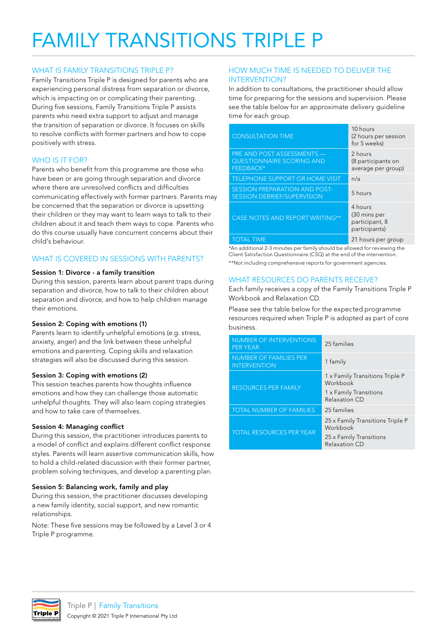# FAMILY TRANSITIONS TRIPLE P

# WHAT IS FAMILY TRANSITIONS TRIPLE P?

Family Transitions Triple P is designed for parents who are experiencing personal distress from separation or divorce, which is impacting on or complicating their parenting. During five sessions, Family Transitions Triple P assists parents who need extra support to adjust and manage the transition of separation or divorce. It focuses on skills to resolve conflicts with former partners and how to cope positively with stress.

# WHO IS IT FOR?

Parents who benefit from this programme are those who have been or are going through separation and divorce where there are unresolved conflicts and difficulties communicating effectively with former partners. Parents may be concerned that the separation or divorce is upsetting their children or they may want to learn ways to talk to their children about it and teach them ways to cope. Parents who do this course usually have concurrent concerns about their child's behaviour.

# WHAT IS COVERED IN SESSIONS WITH PARENTS?

#### Session 1: Divorce - a family transition

During this session, parents learn about parent traps during separation and divorce, how to talk to their children about separation and divorce, and how to help children manage their emotions.

## Session 2: Coping with emotions (1)

Parents learn to identify unhelpful emotions (e.g. stress, anxiety, anger) and the link between these unhelpful emotions and parenting. Coping skills and relaxation strategies will also be discussed during this session.

## Session 3: Coping with emotions (2)

This session teaches parents how thoughts influence emotions and how they can challenge those automatic unhelpful thoughts. They will also learn coping strategies and how to take care of themselves.

#### Session 4: Managing conflict

During this session, the practitioner introduces parents to a model of conflict and explains different conflict response styles. Parents will learn assertive communication skills, how to hold a child-related discussion with their former partner, problem solving techniques, and develop a parenting plan.

#### Session 5: Balancing work, family and play

During this session, the practitioner discusses developing a new family identity, social support, and new romantic relationships.

Note: These five sessions may be followed by a Level 3 or 4 Triple P programme.

## HOW MUCH TIME IS NEEDED TO DELIVER THE INTERVENTION?

In addition to consultations, the practitioner should allow time for preparing for the sessions and supervision. Please see the table below for an approximate delivery guideline time for each group.

| <b>CONSULTATION TIME</b>                                                    | 10 hours<br>(2 hours per session<br>for 5 weeks)           |
|-----------------------------------------------------------------------------|------------------------------------------------------------|
| PRE AND POST ASSESSMENTS -<br><b>QUESTIONNAIRE SCORING AND</b><br>FEEDBACK* | 2 hours<br>(8 participants on<br>average per group)        |
| <b>TELEPHONE SUPPORT OR HOME VISIT</b>                                      | n/a                                                        |
| <b>SESSION PREPARATION AND POST-</b><br><b>SESSION DEBRIEF/SUPERVISION</b>  | 5 hours                                                    |
| <b>CASE NOTES AND REPORT WRITING**</b>                                      | 4 hours<br>(30 mins per<br>participant, 8<br>participants) |
| TOTAL TIME                                                                  | 21 hours per group                                         |

\*An additional 2-3 minutes per family should be allowed for reviewing the Client Satisfaction Questionnaire (CSQ) at the end of the intervention. \*\*Not including comprehensive reports for government agencies.

### WHAT RESOURCES DO PARENTS RECEIVE?

Each family receives a copy of the Family Transitions Triple P Workbook and Relaxation CD.

Please see the table below for the expected programme resources required when Triple P is adopted as part of core business.

| <b>NUMBER OF INTERVENTIONS</b><br><b>PER YEAR</b>    | 25 families                                  |
|------------------------------------------------------|----------------------------------------------|
| <b>NUMBER OF FAMILIES PER</b><br><b>INTERVENTION</b> | 1 family                                     |
| <b>RESOURCES PER FAMILY</b>                          | 1 x Family Transitions Triple P<br>Workbook  |
|                                                      | 1 x Family Transitions<br>Relaxation CD      |
| <b>TOTAL NUMBER OF FAMILIES</b>                      | 25 families                                  |
| <b>TOTAL RESOURCES PER YEAR</b>                      | 25 x Family Transitions Triple P<br>Workbook |
|                                                      | 25 x Family Transitions<br>Relaxation CD     |